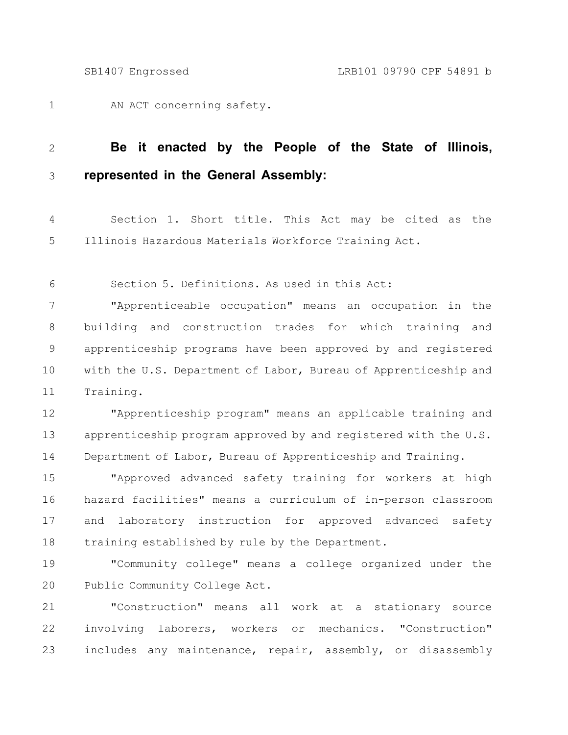AN ACT concerning safety. 1

## **Be it enacted by the People of the State of Illinois, represented in the General Assembly:** 2 3

Section 1. Short title. This Act may be cited as the Illinois Hazardous Materials Workforce Training Act. 4 5

Section 5. Definitions. As used in this Act: 6

"Apprenticeable occupation" means an occupation in the building and construction trades for which training and apprenticeship programs have been approved by and registered with the U.S. Department of Labor, Bureau of Apprenticeship and Training. 7 8 9 10 11

"Apprenticeship program" means an applicable training and apprenticeship program approved by and registered with the U.S. Department of Labor, Bureau of Apprenticeship and Training. 12 13 14

"Approved advanced safety training for workers at high hazard facilities" means a curriculum of in-person classroom and laboratory instruction for approved advanced safety training established by rule by the Department. 15 16 17 18

"Community college" means a college organized under the Public Community College Act. 19 20

"Construction" means all work at a stationary source involving laborers, workers or mechanics. "Construction" includes any maintenance, repair, assembly, or disassembly 21 22 23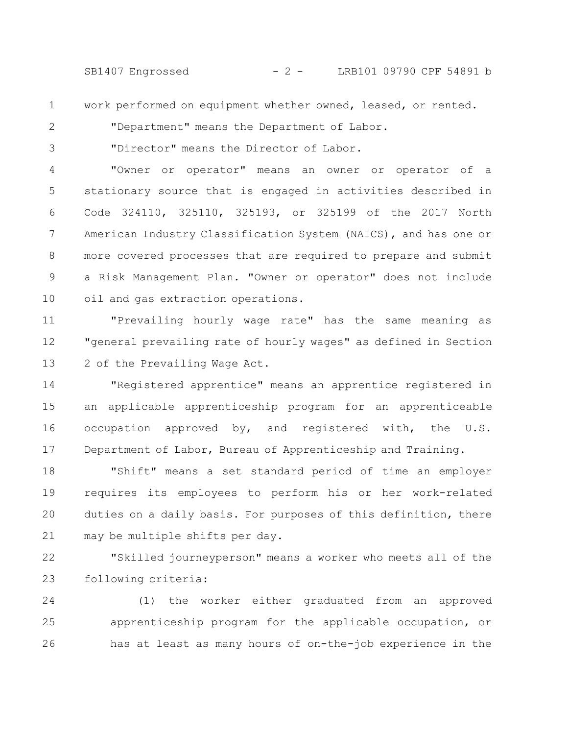SB1407 Engrossed - 2 - LRB101 09790 CPF 54891 b

work performed on equipment whether owned, leased, or rented.

2

3

1

"Department" means the Department of Labor.

"Director" means the Director of Labor.

"Owner or operator" means an owner or operator of a stationary source that is engaged in activities described in Code 324110, 325110, 325193, or 325199 of the 2017 North American Industry Classification System (NAICS), and has one or more covered processes that are required to prepare and submit a Risk Management Plan. "Owner or operator" does not include oil and gas extraction operations. 4 5 6 7 8 9 10

"Prevailing hourly wage rate" has the same meaning as "general prevailing rate of hourly wages" as defined in Section 2 of the Prevailing Wage Act. 11 12 13

"Registered apprentice" means an apprentice registered in an applicable apprenticeship program for an apprenticeable occupation approved by, and registered with, the U.S. Department of Labor, Bureau of Apprenticeship and Training. 14 15 16 17

"Shift" means a set standard period of time an employer requires its employees to perform his or her work-related duties on a daily basis. For purposes of this definition, there may be multiple shifts per day. 18 19 20 21

"Skilled journeyperson" means a worker who meets all of the following criteria: 22 23

(1) the worker either graduated from an approved apprenticeship program for the applicable occupation, or has at least as many hours of on-the-job experience in the 24 25 26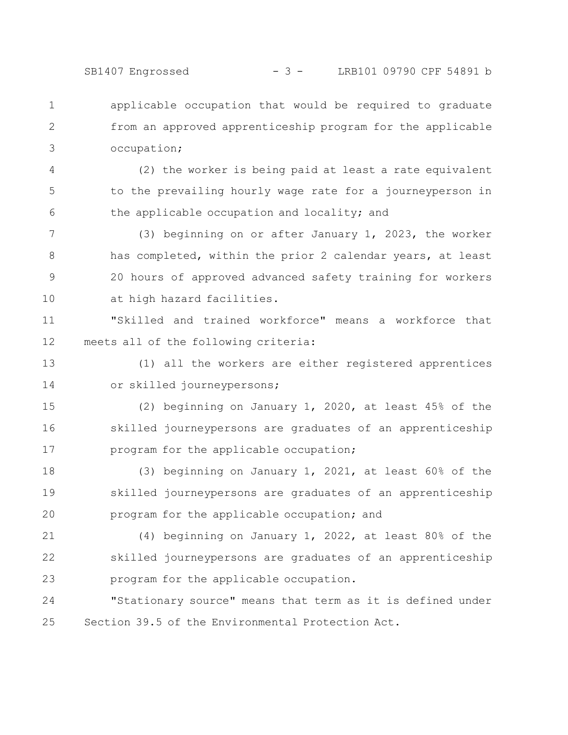SB1407 Engrossed - 3 - LRB101 09790 CPF 54891 b

applicable occupation that would be required to graduate from an approved apprenticeship program for the applicable occupation; 1 2 3

(2) the worker is being paid at least a rate equivalent to the prevailing hourly wage rate for a journeyperson in the applicable occupation and locality; and 4 5 6

(3) beginning on or after January 1, 2023, the worker has completed, within the prior 2 calendar years, at least 20 hours of approved advanced safety training for workers at high hazard facilities. 7 8 9 10

"Skilled and trained workforce" means a workforce that meets all of the following criteria: 11 12

(1) all the workers are either registered apprentices or skilled journeypersons; 13 14

(2) beginning on January 1, 2020, at least 45% of the skilled journeypersons are graduates of an apprenticeship program for the applicable occupation; 15 16 17

(3) beginning on January 1, 2021, at least 60% of the skilled journeypersons are graduates of an apprenticeship program for the applicable occupation; and 18 19 20

(4) beginning on January 1, 2022, at least 80% of the skilled journeypersons are graduates of an apprenticeship program for the applicable occupation. 21 22 23

"Stationary source" means that term as it is defined under Section 39.5 of the Environmental Protection Act. 24 25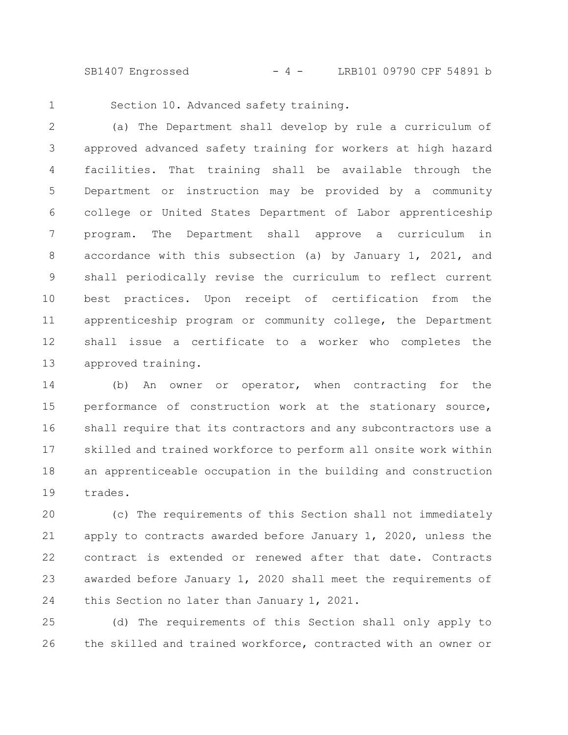SB1407 Engrossed - 4 - LRB101 09790 CPF 54891 b

1

Section 10. Advanced safety training.

(a) The Department shall develop by rule a curriculum of approved advanced safety training for workers at high hazard facilities. That training shall be available through the Department or instruction may be provided by a community college or United States Department of Labor apprenticeship program. The Department shall approve a curriculum in accordance with this subsection (a) by January 1, 2021, and shall periodically revise the curriculum to reflect current best practices. Upon receipt of certification from the apprenticeship program or community college, the Department shall issue a certificate to a worker who completes the approved training. 2 3 4 5 6 7 8 9 10 11 12 13

(b) An owner or operator, when contracting for the performance of construction work at the stationary source, shall require that its contractors and any subcontractors use a skilled and trained workforce to perform all onsite work within an apprenticeable occupation in the building and construction trades. 14 15 16 17 18 19

(c) The requirements of this Section shall not immediately apply to contracts awarded before January 1, 2020, unless the contract is extended or renewed after that date. Contracts awarded before January 1, 2020 shall meet the requirements of this Section no later than January 1, 2021. 20 21 22 23 24

(d) The requirements of this Section shall only apply to the skilled and trained workforce, contracted with an owner or 25 26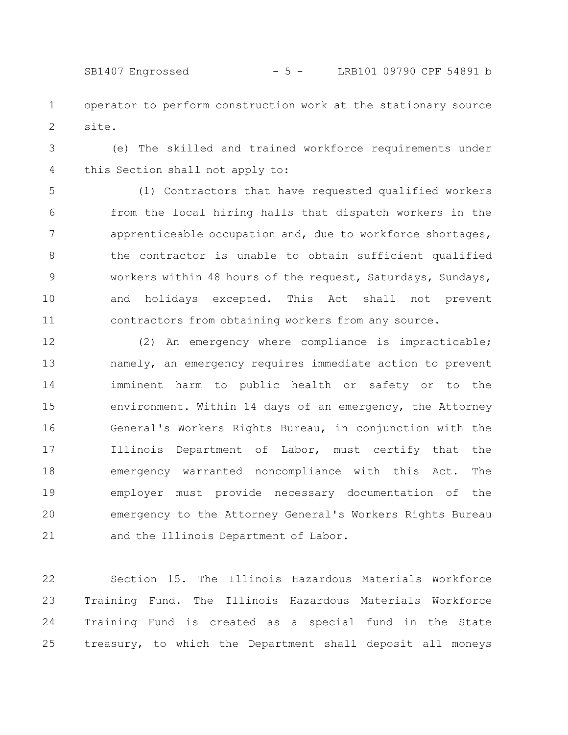operator to perform construction work at the stationary source site. 1 2

(e) The skilled and trained workforce requirements under this Section shall not apply to: 3 4

(1) Contractors that have requested qualified workers from the local hiring halls that dispatch workers in the apprenticeable occupation and, due to workforce shortages, the contractor is unable to obtain sufficient qualified workers within 48 hours of the request, Saturdays, Sundays, and holidays excepted. This Act shall not prevent contractors from obtaining workers from any source. 5 6 7 8 9 10 11

(2) An emergency where compliance is impracticable; namely, an emergency requires immediate action to prevent imminent harm to public health or safety or to the environment. Within 14 days of an emergency, the Attorney General's Workers Rights Bureau, in conjunction with the Illinois Department of Labor, must certify that the emergency warranted noncompliance with this Act. The employer must provide necessary documentation of the emergency to the Attorney General's Workers Rights Bureau and the Illinois Department of Labor. 12 13 14 15 16 17 18 19 20 21

Section 15. The Illinois Hazardous Materials Workforce Training Fund. The Illinois Hazardous Materials Workforce Training Fund is created as a special fund in the State treasury, to which the Department shall deposit all moneys 22 23 24 25